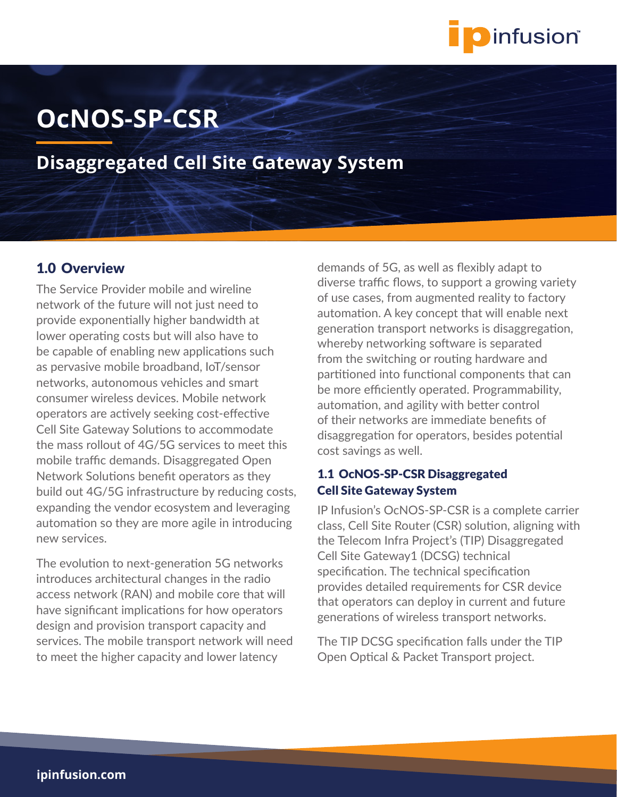

# **OcNOS-SP-CSR**

**Disaggregated Cell Site Gateway System**

## 1.0 Overview

The Service Provider mobile and wireline network of the future will not just need to provide exponentially higher bandwidth at lower operating costs but will also have to be capable of enabling new applications such as pervasive mobile broadband, IoT/sensor networks, autonomous vehicles and smart consumer wireless devices. Mobile network operators are actively seeking cost-effective Cell Site Gateway Solutions to accommodate the mass rollout of 4G/5G services to meet this mobile traffic demands. Disaggregated Open Network Solutions benefit operators as they build out 4G/5G infrastructure by reducing costs, expanding the vendor ecosystem and leveraging automation so they are more agile in introducing new services.

The evolution to next-generation 5G networks introduces architectural changes in the radio access network (RAN) and mobile core that will have significant implications for how operators design and provision transport capacity and services. The mobile transport network will need to meet the higher capacity and lower latency

demands of 5G, as well as flexibly adapt to diverse traffic flows, to support a growing variety of use cases, from augmented reality to factory automation. A key concept that will enable next generation transport networks is disaggregation, whereby networking software is separated from the switching or routing hardware and partitioned into functional components that can be more efficiently operated. Programmability, automation, and agility with better control of their networks are immediate benefits of disaggregation for operators, besides potential cost savings as well.

### 1.1 OcNOS-SP-CSR Disaggregated Cell Site Gateway System

IP Infusion's OcNOS-SP-CSR is a complete carrier class, Cell Site Router (CSR) solution, aligning with the Telecom Infra Project's (TIP) Disaggregated Cell Site Gateway1 (DCSG) technical specification. The technical specification provides detailed requirements for CSR device that operators can deploy in current and future generations of wireless transport networks.

The TIP DCSG specification falls under the TIP Open Optical & Packet Transport project.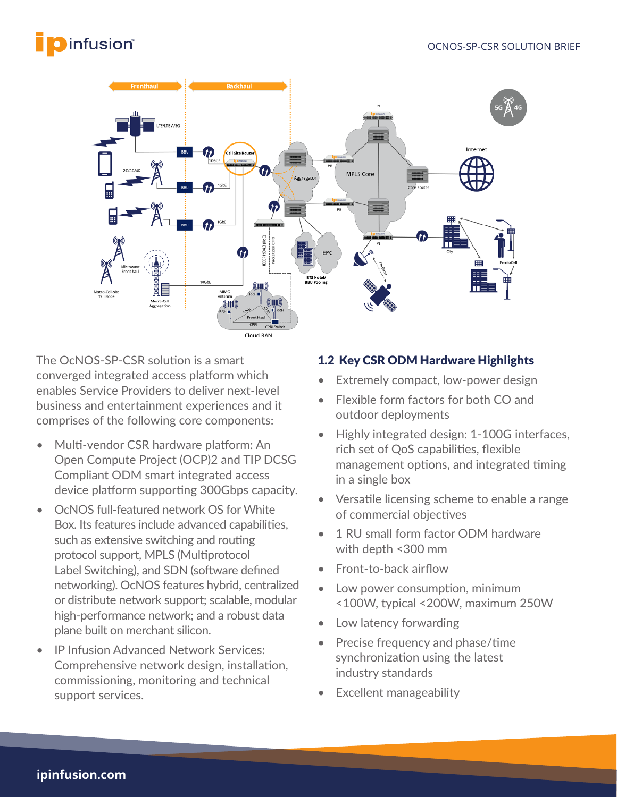# **O** infusion®



The OcNOS-SP-CSR solution is a smart converged integrated access platform which enables Service Providers to deliver next-level business and entertainment experiences and it comprises of the following core components:

- Multi-vendor CSR hardware platform: An Open Compute Project (OCP)2 and TIP DCSG Compliant ODM smart integrated access device platform supporting 300Gbps capacity.
- OcNOS full-featured network OS for White Box. Its features include advanced capabilities, such as extensive switching and routing protocol support, MPLS (Multiprotocol Label Switching), and SDN (software defined networking). OcNOS features hybrid, centralized or distribute network support; scalable, modular high-performance network; and a robust data plane built on merchant silicon.
- IP Infusion Advanced Network Services: Comprehensive network design, installation, commissioning, monitoring and technical support services.

## 1.2 Key CSR ODM Hardware Highlights

- Extremely compact, low-power design
- Flexible form factors for both CO and outdoor deployments
- Highly integrated design: 1-100G interfaces, rich set of QoS capabilities, flexible management options, and integrated timing in a single box
- Versatile licensing scheme to enable a range of commercial objectives
- 1 RU small form factor ODM hardware with depth <300 mm
- Front-to-back airflow
- Low power consumption, minimum <100W, typical <200W, maximum 250W
- Low latency forwarding
- Precise frequency and phase/time synchronization using the latest industry standards
- Excellent manageability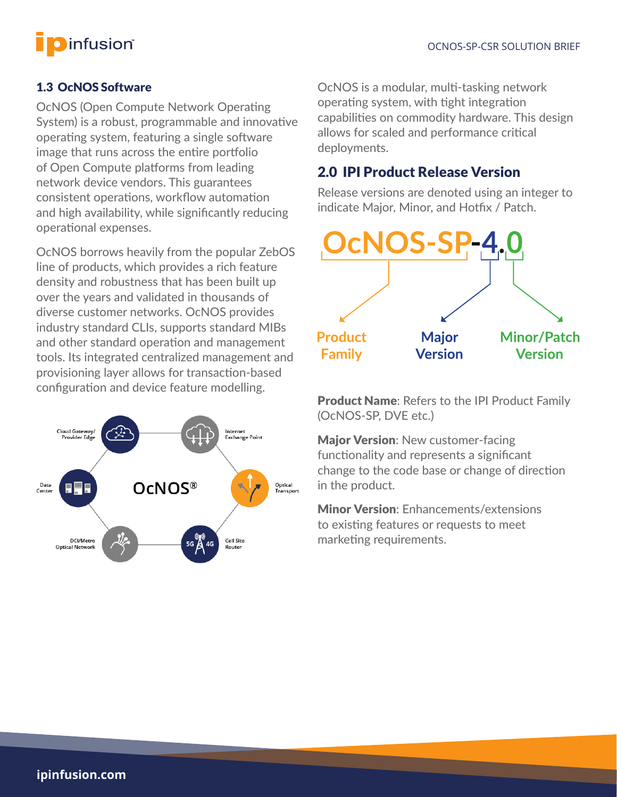

### 1.3 OcNOS Software

OcNOS (Open Compute Network Operating System) is a robust, programmable and innovative operating system, featuring a single software image that runs across the entire portfolio of Open Compute platforms from leading network device vendors. This guarantees consistent operations, workflow automation and high availability, while significantly reducing operational expenses.

OcNOS borrows heavily from the popular ZebOS line of products, which provides a rich feature density and robustness that has been built up over the years and validated in thousands of diverse customer networks. OcNOS provides industry standard CLIs, supports standard MIBs and other standard operation and management tools. Its integrated centralized management and provisioning layer allows for transaction-based configuration and device feature modelling.



OcNOS is a modular, multi-tasking network operating system, with tight integration capabilities on commodity hardware. This design allows for scaled and performance critical deployments.

# 2.0 IPI Product Release Version

Release versions are denoted using an integer to indicate Major, Minor, and Hotfix / Patch.



Product Name: Refers to the IPI Product Family (OcNOS-SP, DVE etc.)

**Major Version: New customer-facing** functionality and represents a significant change to the code base or change of direction in the product.

Minor Version: Enhancements/extensions to existing features or requests to meet marketing requirements.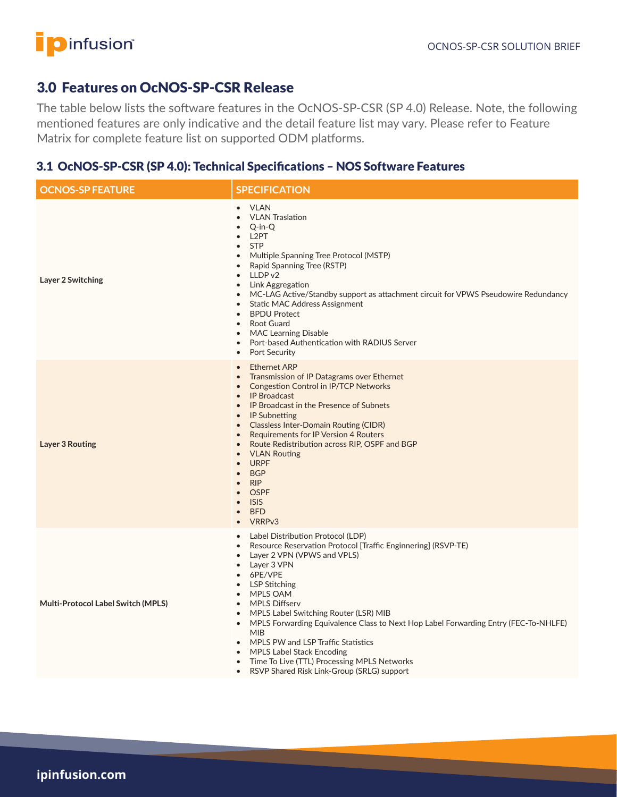# **D**infusion®

# 3.0 Features on OcNOS-SP-CSR Release

The table below lists the software features in the OcNOS-SP-CSR (SP 4.0) Release. Note, the following mentioned features are only indicative and the detail feature list may vary. Please refer to Feature Matrix for complete feature list on supported ODM platforms.

## 3.1 OcNOS-SP-CSR (SP 4.0): Technical Specifications – NOS Software Features

| <b>OCNOS-SP FEATURE</b>            | <b>SPECIFICATION</b>                                                                                                                                                                                                                                                                                                                                                                                                                                                                                                                                                                                                                                                                  |  |
|------------------------------------|---------------------------------------------------------------------------------------------------------------------------------------------------------------------------------------------------------------------------------------------------------------------------------------------------------------------------------------------------------------------------------------------------------------------------------------------------------------------------------------------------------------------------------------------------------------------------------------------------------------------------------------------------------------------------------------|--|
| Layer 2 Switching                  | • VLAN<br><b>VLAN Traslation</b><br>$\bullet$<br>$Q$ -in- $Q$<br>L2PT<br><b>STP</b><br>$\bullet$<br>Multiple Spanning Tree Protocol (MSTP)<br>$\bullet$<br>Rapid Spanning Tree (RSTP)<br>LLDP v2<br>$\bullet$<br>Link Aggregation<br>$\bullet$<br>MC-LAG Active/Standby support as attachment circuit for VPWS Pseudowire Redundancy<br>$\bullet$<br><b>Static MAC Address Assignment</b><br>$\bullet$<br><b>BPDU Protect</b><br>$\bullet$<br>Root Guard<br>$\bullet$<br><b>MAC Learning Disable</b><br>Port-based Authentication with RADIUS Server<br>$\bullet$<br>Port Security<br>$\bullet$                                                                                       |  |
| <b>Layer 3 Routing</b>             | <b>Ethernet ARP</b><br>Transmission of IP Datagrams over Ethernet<br>$\bullet$<br><b>Congestion Control in IP/TCP Networks</b><br>• IP Broadcast<br>IP Broadcast in the Presence of Subnets<br>$\bullet$<br><b>IP Subnetting</b><br>$\bullet$<br><b>Classless Inter-Domain Routing (CIDR)</b><br><b>Requirements for IP Version 4 Routers</b><br>$\bullet$<br>Route Redistribution across RIP, OSPF and BGP<br>$\bullet$<br><b>VLAN Routing</b><br>$\bullet$<br><b>URPF</b><br>$\bullet$<br><b>BGP</b><br>$\bullet$<br><b>RIP</b><br>$\bullet$<br><b>OSPF</b><br><b>ISIS</b><br>$\bullet$<br><b>BFD</b><br>$\bullet$<br>VRRPv3                                                        |  |
| Multi-Protocol Label Switch (MPLS) | Label Distribution Protocol (LDP)<br>$\bullet$<br>Resource Reservation Protocol [Traffic Enginnering] (RSVP-TE)<br>Layer 2 VPN (VPWS and VPLS)<br>$\bullet$<br>Layer 3 VPN<br>$\bullet$<br>6PE/VPE<br><b>LSP Stitching</b><br>$\bullet$<br><b>MPLS OAM</b><br>$\bullet$<br><b>MPLS Diffserv</b><br>$\bullet$<br>MPLS Label Switching Router (LSR) MIB<br>$\bullet$<br>MPLS Forwarding Equivalence Class to Next Hop Label Forwarding Entry (FEC-To-NHLFE)<br>$\bullet$<br><b>MIB</b><br>MPLS PW and LSP Traffic Statistics<br>$\bullet$<br><b>MPLS Label Stack Encoding</b><br>Time To Live (TTL) Processing MPLS Networks<br>$\bullet$<br>RSVP Shared Risk Link-Group (SRLG) support |  |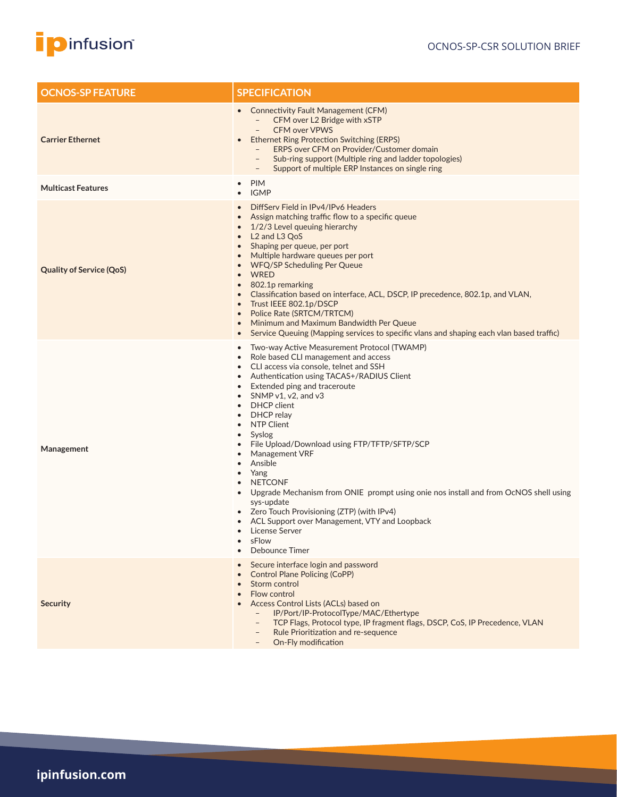

| <b>OCNOS-SP FEATURE</b>         | <b>SPECIFICATION</b>                                                                                                                                                                                                                                                                                                                                                                                                                                                                                                                                                                                                                                                                                                                                                                                   |  |
|---------------------------------|--------------------------------------------------------------------------------------------------------------------------------------------------------------------------------------------------------------------------------------------------------------------------------------------------------------------------------------------------------------------------------------------------------------------------------------------------------------------------------------------------------------------------------------------------------------------------------------------------------------------------------------------------------------------------------------------------------------------------------------------------------------------------------------------------------|--|
| <b>Carrier Ethernet</b>         | • Connectivity Fault Management (CFM)<br>CFM over L2 Bridge with xSTP<br>$\overline{\phantom{a}}$<br><b>CFM over VPWS</b><br><b>Ethernet Ring Protection Switching (ERPS)</b><br>$\bullet$<br>ERPS over CFM on Provider/Customer domain<br>Sub-ring support (Multiple ring and ladder topologies)<br>$\overline{\phantom{a}}$<br>Support of multiple ERP Instances on single ring<br>$\qquad \qquad -$                                                                                                                                                                                                                                                                                                                                                                                                 |  |
| <b>Multicast Features</b>       | <b>PIM</b><br>$\bullet$<br><b>IGMP</b>                                                                                                                                                                                                                                                                                                                                                                                                                                                                                                                                                                                                                                                                                                                                                                 |  |
| <b>Quality of Service (QoS)</b> | DiffServ Field in IPv4/IPv6 Headers<br>Assign matching traffic flow to a specific queue<br>1/2/3 Level queuing hierarchy<br>L <sub>2</sub> and L <sub>3</sub> Q <sub>o</sub> S<br>$\bullet$<br>Shaping per queue, per port<br>Multiple hardware queues per port<br><b>WFQ/SP Scheduling Per Queue</b><br><b>WRED</b><br>802.1p remarking<br>$\bullet$<br>Classification based on interface, ACL, DSCP, IP precedence, 802.1p, and VLAN,<br>Trust IEEE 802.1p/DSCP<br>$\bullet$<br>Police Rate (SRTCM/TRTCM)<br>$\bullet$<br>Minimum and Maximum Bandwidth Per Queue<br>Service Queuing (Mapping services to specific vlans and shaping each vlan based traffic)<br>$\bullet$                                                                                                                           |  |
| Management                      | Two-way Active Measurement Protocol (TWAMP)<br>Role based CLI management and access<br>$\bullet$<br>CLI access via console, telnet and SSH<br>Authentication using TACAS+/RADIUS Client<br>$\bullet$<br>Extended ping and traceroute<br>$\bullet$<br>SNMP $v1$ , $v2$ , and $v3$<br>DHCP client<br>$\bullet$<br>DHCP relay<br><b>NTP Client</b><br>$\bullet$<br>Syslog<br>$\bullet$<br>File Upload/Download using FTP/TFTP/SFTP/SCP<br>Management VRF<br>$\bullet$<br>Ansible<br>Yang<br>$\bullet$<br><b>NETCONF</b><br>$\bullet$<br>Upgrade Mechanism from ONIE prompt using onie nos install and from OcNOS shell using<br>sys-update<br>Zero Touch Provisioning (ZTP) (with IPv4)<br>ACL Support over Management, VTY and Loopback<br>License Server<br>sFlow<br>$\bullet$<br><b>Debounce Timer</b> |  |
| <b>Security</b>                 | Secure interface login and password<br><b>Control Plane Policing (CoPP)</b><br>$\bullet$<br>Storm control<br>Flow control<br>Access Control Lists (ACLs) based on<br>IP/Port/IP-ProtocolType/MAC/Ethertype<br>TCP Flags, Protocol type, IP fragment flags, DSCP, CoS, IP Precedence, VLAN<br>$\overline{\phantom{a}}$<br>Rule Prioritization and re-sequence                                                                                                                                                                                                                                                                                                                                                                                                                                           |  |

– On-Fly modification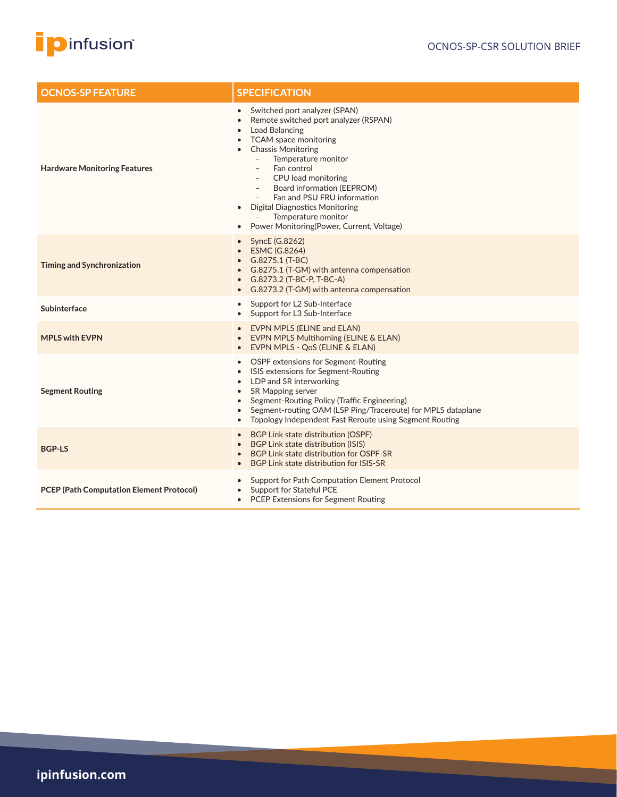

| <b>OCNOS-SP FEATURE</b>                         | <b>SPECIFICATION</b>                                                                                                                                                                                                                                                                                                                                                                                                                                                     |  |
|-------------------------------------------------|--------------------------------------------------------------------------------------------------------------------------------------------------------------------------------------------------------------------------------------------------------------------------------------------------------------------------------------------------------------------------------------------------------------------------------------------------------------------------|--|
| <b>Hardware Monitoring Features</b>             | Switched port analyzer (SPAN)<br>$\bullet$<br>Remote switched port analyzer (RSPAN)<br>$\bullet$<br>Load Balancing<br>TCAM space monitoring<br><b>Chassis Monitoring</b><br>Temperature monitor<br>$\overline{\phantom{a}}$<br>Fan control<br>CPU load monitoring<br>Board information (EEPROM)<br>$\overline{\phantom{a}}$<br>Fan and PSU FRU information<br><b>Digital Diagnostics Monitoring</b><br>Temperature monitor<br>Power Monitoring (Power, Current, Voltage) |  |
| <b>Timing and Synchronization</b>               | SyncE (G.8262)<br>ESMC (G.8264)<br>G.8275.1 (T-BC)<br>G.8275.1 (T-GM) with antenna compensation<br>G.8273.2 (T-BC-P, T-BC-A)<br>G.8273.2 (T-GM) with antenna compensation                                                                                                                                                                                                                                                                                                |  |
| Subinterface                                    | Support for L2 Sub-Interface<br>Support for L3 Sub-Interface<br>$\bullet$                                                                                                                                                                                                                                                                                                                                                                                                |  |
| <b>MPLS with EVPN</b>                           | <b>EVPN MPLS (ELINE and ELAN)</b><br>EVPN MPLS Multihoming (ELINE & ELAN)<br>EVPN MPLS - QoS (ELINE & ELAN)                                                                                                                                                                                                                                                                                                                                                              |  |
| <b>Segment Routing</b>                          | OSPF extensions for Segment-Routing<br>ISIS extensions for Segment-Routing<br>LDP and SR interworking<br>$\bullet$<br><b>SR Mapping server</b><br>$\bullet$<br>Segment-Routing Policy (Traffic Engineering)<br>$\bullet$<br>Segment-routing OAM (LSP Ping/Traceroute) for MPLS dataplane<br>Topology Independent Fast Reroute using Segment Routing<br>$\bullet$                                                                                                         |  |
| <b>BGP-LS</b>                                   | BGP Link state distribution (OSPF)<br>BGP Link state distribution (ISIS)<br>BGP Link state distribution for OSPF-SR<br>BGP Link state distribution for ISIS-SR                                                                                                                                                                                                                                                                                                           |  |
| <b>PCEP (Path Computation Element Protocol)</b> | Support for Path Computation Element Protocol<br>Support for Stateful PCE<br>PCEP Extensions for Segment Routing<br>$\bullet$                                                                                                                                                                                                                                                                                                                                            |  |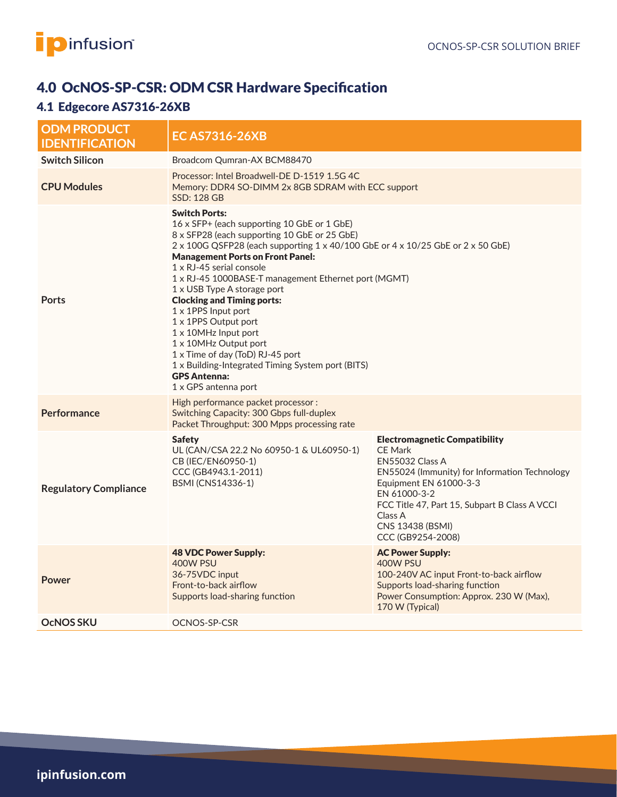

# 4.0 OcNOS-SP-CSR: ODM CSR Hardware Specification

# 4.1 Edgecore AS7316-26XB

| <b>ODM PRODUCT</b><br><b>IDENTIFICATION</b> | <b>EC AS7316-26XB</b>                                                                                                                                                                                                                                                                                                                                                                                                                                                                                                                                                                                                                             |                                                                                                                                                                                                                                                                           |  |
|---------------------------------------------|---------------------------------------------------------------------------------------------------------------------------------------------------------------------------------------------------------------------------------------------------------------------------------------------------------------------------------------------------------------------------------------------------------------------------------------------------------------------------------------------------------------------------------------------------------------------------------------------------------------------------------------------------|---------------------------------------------------------------------------------------------------------------------------------------------------------------------------------------------------------------------------------------------------------------------------|--|
| <b>Switch Silicon</b>                       | Broadcom Qumran-AX BCM88470                                                                                                                                                                                                                                                                                                                                                                                                                                                                                                                                                                                                                       |                                                                                                                                                                                                                                                                           |  |
| <b>CPU Modules</b>                          | Processor: Intel Broadwell-DE D-1519 1.5G 4C<br>Memory: DDR4 SO-DIMM 2x 8GB SDRAM with ECC support<br><b>SSD: 128 GB</b>                                                                                                                                                                                                                                                                                                                                                                                                                                                                                                                          |                                                                                                                                                                                                                                                                           |  |
| <b>Ports</b>                                | <b>Switch Ports:</b><br>16 x SFP+ (each supporting 10 GbE or 1 GbE)<br>8 x SFP28 (each supporting 10 GbE or 25 GbE)<br>2 x 100G QSFP28 (each supporting 1 x 40/100 GbE or 4 x 10/25 GbE or 2 x 50 GbE)<br><b>Management Ports on Front Panel:</b><br>1 x RJ-45 serial console<br>1 x RJ-45 1000BASE-T management Ethernet port (MGMT)<br>1 x USB Type A storage port<br><b>Clocking and Timing ports:</b><br>1 x 1PPS Input port<br>1 x 1PPS Output port<br>1 x 10MHz Input port<br>1 x 10MHz Output port<br>1 x Time of day (ToD) RJ-45 port<br>1 x Building-Integrated Timing System port (BITS)<br><b>GPS Antenna:</b><br>1 x GPS antenna port |                                                                                                                                                                                                                                                                           |  |
| <b>Performance</b>                          | High performance packet processor :<br>Switching Capacity: 300 Gbps full-duplex<br>Packet Throughput: 300 Mpps processing rate                                                                                                                                                                                                                                                                                                                                                                                                                                                                                                                    |                                                                                                                                                                                                                                                                           |  |
| <b>Regulatory Compliance</b>                | <b>Safety</b><br>UL (CAN/CSA 22.2 No 60950-1 & UL60950-1)<br>CB (IEC/EN60950-1)<br>CCC (GB4943.1-2011)<br>BSMI (CNS14336-1)                                                                                                                                                                                                                                                                                                                                                                                                                                                                                                                       | <b>Electromagnetic Compatibility</b><br><b>CE Mark</b><br>EN55032 Class A<br>EN55024 (Immunity) for Information Technology<br>Equipment EN 61000-3-3<br>EN 61000-3-2<br>FCC Title 47, Part 15, Subpart B Class A VCCI<br>Class A<br>CNS 13438 (BSMI)<br>CCC (GB9254-2008) |  |
| <b>Power</b>                                | <b>48 VDC Power Supply:</b><br>400W PSU<br>36-75VDC input<br>Front-to-back airflow<br>Supports load-sharing function                                                                                                                                                                                                                                                                                                                                                                                                                                                                                                                              | <b>AC Power Supply:</b><br>400W PSU<br>100-240V AC input Front-to-back airflow<br>Supports load-sharing function<br>Power Consumption: Approx. 230 W (Max),<br>170 W (Typical)                                                                                            |  |
| <b>OCNOS SKU</b>                            | OCNOS-SP-CSR                                                                                                                                                                                                                                                                                                                                                                                                                                                                                                                                                                                                                                      |                                                                                                                                                                                                                                                                           |  |